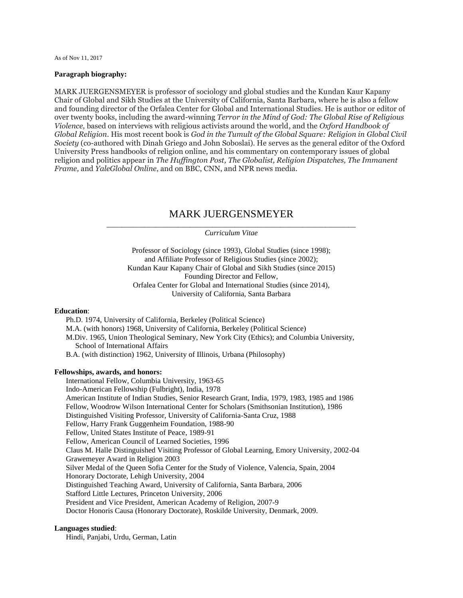As of Nov 11, 2017

## **Paragraph biography:**

MARK JUERGENSMEYER is professor of sociology and global studies and the Kundan Kaur Kapany Chair of Global and Sikh Studies at the University of California, Santa Barbara, where he is also a fellow and founding director of the Orfalea Center for Global and International Studies. He is author or editor of over twenty books, including the award-winning *Terror in the Mind of God: The Global Rise of Religious Violence,* based on interviews with religious activists around the world, and the *Oxford Handbook of Global Religion*. His most recent book is *God in the Tumult of the Global Square: Religion in Global Civil Society* (co-authored with Dinah Griego and John Soboslai). He serves as the general editor of the Oxford University Press handbooks of religion online, and his commentary on contemporary issues of global religion and politics appear in *The Huffington Post, The Globalist, Religion Dispatches, The Immanent Frame,* and *YaleGlobal Online*, and on BBC, CNN, and NPR news media.

# MARK JUERGENSMEYER

\_\_\_\_\_\_\_\_\_\_\_\_\_\_\_\_\_\_\_\_\_\_\_\_\_\_\_\_\_\_\_\_\_\_\_\_\_\_\_\_\_\_\_\_\_\_\_\_\_\_\_\_\_\_\_\_\_\_\_\_\_\_\_\_\_\_ *Curriculum Vitae*

Professor of Sociology (since 1993), Global Studies (since 1998); and Affiliate Professor of Religious Studies (since 2002); Kundan Kaur Kapany Chair of Global and Sikh Studies (since 2015) Founding Director and Fellow, Orfalea Center for Global and International Studies (since 2014), University of California, Santa Barbara

# **Education**:

 Ph.D. 1974, University of California, Berkeley (Political Science) M.A. (with honors) 1968, University of California, Berkeley (Political Science) M.Div. 1965, Union Theological Seminary, New York City (Ethics); and Columbia University, School of International Affairs B.A. (with distinction) 1962, University of Illinois, Urbana (Philosophy)

#### **Fellowships, awards, and honors:**

 International Fellow, Columbia University, 1963-65 Indo-American Fellowship (Fulbright), India, 1978 American Institute of Indian Studies, Senior Research Grant, India, 1979, 1983, 1985 and 1986 Fellow, Woodrow Wilson International Center for Scholars (Smithsonian Institution), 1986 Distinguished Visiting Professor, University of California-Santa Cruz, 1988 Fellow, Harry Frank Guggenheim Foundation, 1988-90 Fellow, United States Institute of Peace, 1989-91 Fellow, American Council of Learned Societies, 1996 Claus M. Halle Distinguished Visiting Professor of Global Learning, Emory University, 2002-04 Grawemeyer Award in Religion 2003 Silver Medal of the Queen Sofia Center for the Study of Violence, Valencia, Spain, 2004 Honorary Doctorate, Lehigh University, 2004 Distinguished Teaching Award, University of California, Santa Barbara, 2006 Stafford Little Lectures, Princeton University, 2006 President and Vice President, American Academy of Religion, 2007-9 Doctor Honoris Causa (Honorary Doctorate), Roskilde University, Denmark, 2009.

## **Languages studied**:

Hindi, Panjabi, Urdu, German, Latin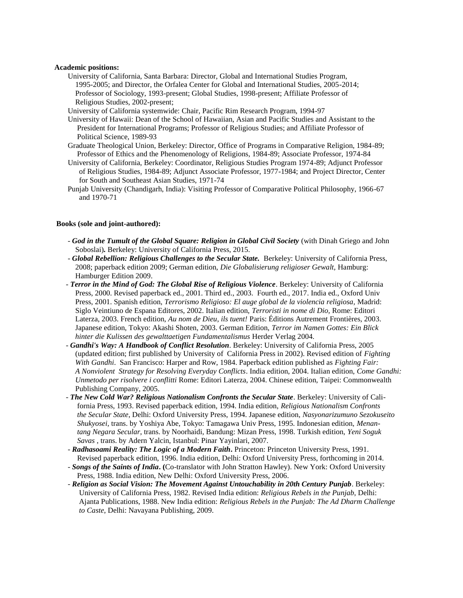### **Academic positions:**

- University of California, Santa Barbara: Director, Global and International Studies Program, 1995-2005; and Director, the Orfalea Center for Global and International Studies, 2005-2014; Professor of Sociology, 1993-present; Global Studies, 1998-present; Affiliate Professor of Religious Studies, 2002-present;
- University of California systemwide: Chair, Pacific Rim Research Program, 1994-97
- University of Hawaii: Dean of the School of Hawaiian, Asian and Pacific Studies and Assistant to the President for International Programs; Professor of Religious Studies; and Affiliate Professor of Political Science, 1989-93
- Graduate Theological Union, Berkeley: Director, Office of Programs in Comparative Religion, 1984-89; Professor of Ethics and the Phenomenology of Religions, 1984-89; Associate Professor, 1974-84
- University of California, Berkeley: Coordinator, Religious Studies Program 1974-89; Adjunct Professor of Religious Studies, 1984-89; Adjunct Associate Professor, 1977-1984; and Project Director, Center for South and Southeast Asian Studies, 1971-74
- Punjab University (Chandigarh, India): Visiting Professor of Comparative Political Philosophy, 1966-67 and 1970-71

#### **Books (sole and joint-authored):**

- God in the Tumult of the Global Square: Religion in Global Civil Society (with Dinah Griego and John Soboslai)*.* Berkeley: University of California Press, 2015.
- *Global Rebellion: Religious Challenges to the Secular State.* Berkeley: University of California Press, 2008; paperback edition 2009; German edition, *Die Globalisierung religioser Gewalt,* Hamburg: Hamburger Edition 2009.
- *- Terror in the Mind of God: The Global Rise of Religious Violence*. Berkeley: University of California Press, 2000. Revised paperback ed., 2001. Third ed., 2003. Fourth ed., 2017. India ed., Oxford Univ Press, 2001. Spanish edition, *Terrorismo Religioso: El auge global de la violencia religiosa,* Madrid: Siglo Veintiuno de Espana Editores, 2002. Italian edition, *Terroristi in nome di Dio,* Rome: Editori Laterza, 2003. French edition, *Au nom de Dieu, ils tuent!* Paris: Éditions Autrement Frontières, 2003. Japanese edition, Tokyo: Akashi Shoten, 2003. German Edition, *Terror im Namen Gottes: Ein Blick hinter die Kulissen des gewalttaetigen Fundamentalismus* Herder Verlag 2004.
- *Gandhi's Way: A Handbook of Conflict Resolution*. Berkeley: University of California Press, 2005 (updated edition; first published by University of California Press in 2002). Revised edition of *Fighting With Gandhi*. San Francisco: Harper and Row, 1984. Paperback edition published as *Fighting Fair: A Nonviolent Strategy for Resolving Everyday Conflicts*. India edition, 2004. Italian edition, *Come Gandhi: Unmetodo per risolvere i conflitti* Rome: Editori Laterza, 2004. Chinese edition, Taipei: Commonwealth Publishing Company, 2005.
- *The New Cold War? Religious Nationalism Confronts the Secular State*. Berkeley: University of Cali fornia Press, 1993. Revised paperback edition, 1994. India edition, *Religious Nationalism Confronts the Secular State*, Delhi: Oxford University Press, 1994. Japanese edition, *Nasyonarizumuno Sezokuseito Shukyosei,* trans. by Yoshiya Abe, Tokyo: Tamagawa Univ Press, 1995. Indonesian edition, *Menan tang Negara Secular*, trans. by Noorhaidi, Bandung: Mizan Press, 1998. Turkish edition, *Yeni Soguk Savas* , trans. by Adern Yalcin, Istanbul: Pinar Yayinlari, 2007.
- *- Radhasoami Reality: The Logic of a Modern Faith***.** Princeton: Princeton University Press, 1991. Revised paperback edition, 1996. India edition, Delhi: Oxford University Press, forthcoming in 2014.
- *Songs of the Saints of India***. (**Co-translator with John Stratton Hawley). New York: Oxford University Press, 1988. India edition, New Delhi: Oxford University Press, 2006.
- *Religion as Social Vision: The Movement Against Untouchability in 20th Century Punjab*. Berkeley: University of California Press, 1982. Revised India edition: *Religious Rebels in the Punjab*, Delhi: Ajanta Publications, 1988. New India edition: *Religious Rebels in the Punjab: The Ad Dharm Challenge to Caste*, Delhi: Navayana Publishing, 2009.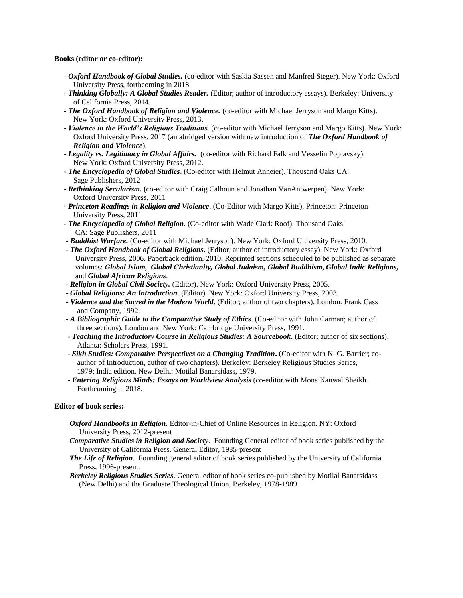# **Books (editor or co-editor):**

- *Oxford Handbook of Global Studies.* (co-editor with Saskia Sassen and Manfred Steger). New York: Oxford University Press, forthcoming in 2018.
- *Thinking Globally: A Global Studies Reader.* (Editor; author of introductory essays). Berkeley: University of California Press, 2014.
- **-** *The Oxford Handbook of Religion and Violence.* (co-editor with Michael Jerryson and Margo Kitts). New York: Oxford University Press, 2013.
- *Violence in the World's Religious Traditions.* (co-editor with Michael Jerryson and Margo Kitts). New York: Oxford University Press, 2017 (an abridged version with new introduction of *The Oxford Handbook of Religion and Violence*).
- *Legality vs. Legitimacy in Global Affairs.* (co-editor with Richard Falk and Vesselin Poplavsky). New York: Oxford University Press, 2012.
- *- The Encyclopedia of Global Studies*. (Co-editor with Helmut Anheier). Thousand Oaks CA: Sage Publishers, 2012
- *Rethinking Secularism.* (co-editor with Craig Calhoun and Jonathan VanAntwerpen). New York: Oxford University Press, 2011
- *Princeton Readings in Religion and Violence*. (Co-Editor with Margo Kitts). Princeton: Princeton University Press, 2011
- *- The Encyclopedia of Global Religion*. (Co-editor with Wade Clark Roof). Thousand Oaks CA: Sage Publishers, 2011
- **-** *Buddhist Warfare.* (Co-editor with Michael Jerryson). New York: Oxford University Press, 2010.
- *- The Oxford Handbook of Global Religions***.** (Editor; author of introductory essay). New York: Oxford University Press, 2006. Paperback edition, 2010. Reprinted sections scheduled to be published as separate volumes: *Global Islam, Global Christianity, Global Judaism, Global Buddhism, Global Indic Religions,* and *Global African Religions*.
- *Religion in Global Civil Society.* (Editor). New York: Oxford University Press, 2005.
- *Global Religions: An Introduction*. (Editor). New York: Oxford University Press, 2003.
- *- Violence and the Sacred in the Modern World*. (Editor; author of two chapters). London: Frank Cass and Company, 1992.
- *A Bibliographic Guide to the Comparative Study of Ethics*. (Co-editor with John Carman; author of three sections). London and New York: Cambridge University Press, 1991.
- *- Teaching the Introductory Course in Religious Studies: A Sourcebook*. (Editor; author of six sections). Atlanta: Scholars Press, 1991.
- *Sikh Studies: Comparative Perspectives on a Changing Tradition***.** (Co-editor with N. G. Barrier; co author of Introduction, author of two chapters). Berkeley: Berkeley Religious Studies Series, 1979; India edition, New Delhi: Motilal Banarsidass, 1979.
- *Entering Religious Minds: Essays on Worldview Analysis* (co-editor with Mona Kanwal Sheikh. Forthcoming in 2018.

# **Editor of book series:**

- *Oxford Handbooks in Religion.* Editor-in-Chief of Online Resources in Religion. NY: Oxford University Press, 2012-present
- *Comparative Studies in Religion and Society*. Founding General editor of book series published by the University of California Press. General Editor, 1985-present
- *The Life of Religion*. Founding general editor of book series published by the University of California Press, 1996-present.
- *Berkeley Religious Studies Series*. General editor of book series co-published by Motilal Banarsidass (New Delhi) and the Graduate Theological Union, Berkeley, 1978-1989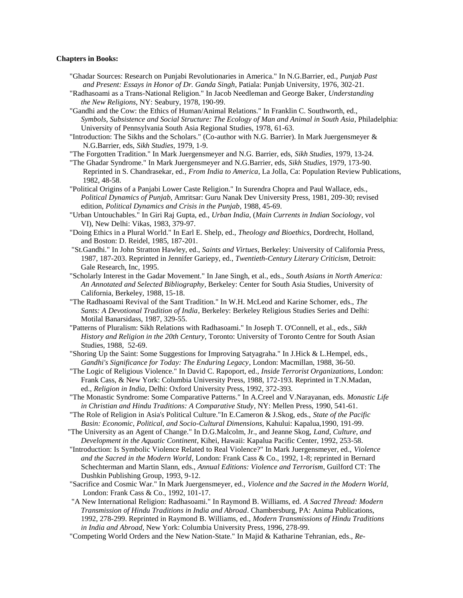## **Chapters in Books:**

- "Ghadar Sources: Research on Punjabi Revolutionaries in America." In N.G.Barrier, ed., *Punjab Past and Present: Essays in Honor of Dr. Ganda Singh*, Patiala: Punjab University, 1976, 302-21.
- "Radhasoami as a Trans-National Religion." In Jacob Needleman and George Baker, *Understanding the New Religions*, NY: Seabury, 1978, 190-99.

 "Gandhi and the Cow: the Ethics of Human/Animal Relations." In Franklin C. Southworth, ed., *Symbols, Subsistence and Social Structure: The Ecology of Man and Animal in South Asia*, Philadelphia: University of Pennsylvania South Asia Regional Studies, 1978, 61-63.

- "Introduction: The Sikhs and the Scholars." (Co-author with N.G. Barrier). In Mark Juergensmeyer & N.G.Barrier, eds, *Sikh Studies*, 1979, 1-9.
- "The Forgotten Tradition." In Mark Juergensmeyer and N.G. Barrier, eds, *Sikh Studies*, 1979, 13-24.
- "The Ghadar Syndrome." In Mark Juergensmeyer and N.G.Barrier, eds, *Sikh Studies*, 1979, 173-90. Reprinted in S. Chandrasekar, ed., *From India to America*, La Jolla, Ca: Population Review Publications, 1982, 48-58.
- "Political Origins of a Panjabi Lower Caste Religion." In Surendra Chopra and Paul Wallace, eds., *Political Dynamics of Punjab*, Amritsar: Guru Nanak Dev University Press, 1981, 209-30; revised edition, *Political Dynamics and Crisis in the Punjab*, 1988, 45-69.
- "Urban Untouchables." In Giri Raj Gupta, ed., *Urban India*, (*Main Currents in Indian Sociology*, vol VI), New Delhi: Vikas, 1983, 379-97.
- "Doing Ethics in a Plural World." In Earl E. Shelp, ed., *Theology and Bioethics*, Dordrecht, Holland, and Boston: D. Reidel, 1985, 187-201.
- "St.Gandhi." In John Stratton Hawley, ed., *Saints and Virtues*, Berkeley: University of California Press, 1987, 187-203. Reprinted in Jennifer Gariepy, ed., *Twentieth-Century Literary Criticism*, Detroit: Gale Research, Inc, 1995.
- "Scholarly Interest in the Gadar Movement." In Jane Singh, et al., eds., *South Asians in North America: An Annotated and Selected Bibliography*, Berkeley: Center for South Asia Studies, University of California, Berkeley, 1988, 15-18.
- "The Radhasoami Revival of the Sant Tradition." In W.H. McLeod and Karine Schomer, eds., *The Sants: A Devotional Tradition of India*, Berkeley: Berkeley Religious Studies Series and Delhi: Motilal Banarsidass, 1987, 329-55.
- "Patterns of Pluralism: Sikh Relations with Radhasoami." In Joseph T. O'Connell, et al., eds., *Sikh History and Religion in the 20th Century,* Toronto: University of Toronto Centre for South Asian Studies, 1988, 52-69.
- "Shoring Up the Saint: Some Suggestions for Improving Satyagraha." In J.Hick & L.Hempel, eds., *Gandhi's Significance for Today: The Enduring Legacy*, London: Macmillan, 1988, 36-50.
- "The Logic of Religious Violence." In David C. Rapoport, ed., *Inside Terrorist Organizations*, London: Frank Cass, & New York: Columbia University Press, 1988, 172-193. Reprinted in T.N.Madan, ed., *Religion in India*, Delhi: Oxford University Press, 1992, 372-393.
- "The Monastic Syndrome: Some Comparative Patterns." In A.Creel and V.Narayanan, eds. *Monastic Life in Christian and Hindu Traditions: A Comparative Study*, NY: Mellen Press, 1990, 541-61.
- "The Role of Religion in Asia's Political Culture."In E.Cameron & J.Skog, eds., *State of the Pacific Basin: Economic, Political, and Socio-Cultural Dimensions*, Kahului: Kapalua,1990, 191-99.
- "The University as an Agent of Change." In D.G.Malcolm, Jr., and Jeanne Skog, *Land, Culture, and Development in the Aquatic Continent*, Kihei, Hawaii: Kapalua Pacific Center, 1992, 253-58.
- "Introduction: Is Symbolic Violence Related to Real Violence?" In Mark Juergensmeyer, ed., *Violence and the Sacred in the Modern World*, London: Frank Cass & Co., 1992, 1-8; reprinted in Bernard Schechterman and Martin Slann, eds., *Annual Editions: Violence and Terrorism*, Guilford CT: The Dushkin Publishing Group, 1993, 9-12.
- "Sacrifice and Cosmic War." In Mark Juergensmeyer, ed., *Violence and the Sacred in the Modern World,* London: Frank Cass & Co., 1992, 101-17.
- "A New International Religion: Radhasoami." In Raymond B. Williams, ed. *A Sacred Thread: Modern Transmission of Hindu Traditions in India and Abroad*. Chambersburg, PA: Anima Publications, 1992, 278-299. Reprinted in Raymond B. Williams, ed., *Modern Transmissions of Hindu Traditions in India and Abroad,* New York: Columbia University Press, 1996, 278-99.
- "Competing World Orders and the New Nation-State." In Majid & Katharine Tehranian, eds., *Re-*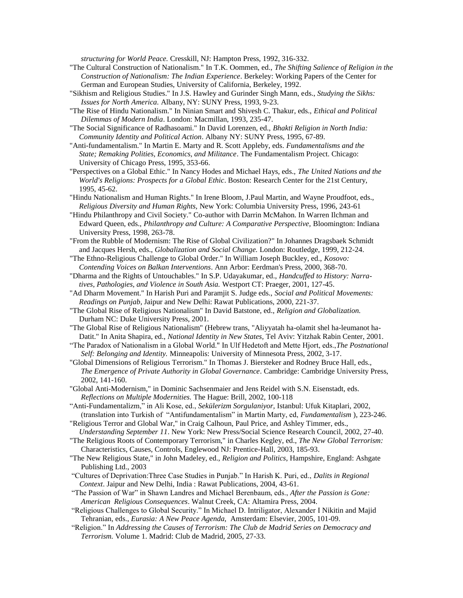*structuring for World Peace.* Cresskill, NJ: Hampton Press, 1992, 316-332.

- "The Cultural Construction of Nationalism." In T.K. Oommen, ed., *The Shifting Salience of Religion in the Construction of Nationalism: The Indian Experience*. Berkeley: Working Papers of the Center for German and European Studies, University of California, Berkeley, 1992.
- "Sikhism and Religious Studies." In J.S. Hawley and Gurinder Singh Mann, eds., *Studying the Sikhs: Issues for North America.* Albany, NY: SUNY Press, 1993, 9-23.
- "The Rise of Hindu Nationalism." In Ninian Smart and Shivesh C. Thakur, eds., *Ethical and Political Dilemmas of Modern India*. London: Macmillan, 1993, 235-47.
- "The Social Significance of Radhasoami." In David Lorenzen, ed., *Bhakti Religion in North India: Community Identity and Political Action*. Albany NY: SUNY Press, 1995, 67-89.
- "Anti-fundamentalism." In Martin E. Marty and R. Scott Appleby, eds. *Fundamentalisms and the State; Remaking Polities, Economics, and Militance*. The Fundamentalism Project. Chicago: University of Chicago Press, 1995, 353-66.
- "Perspectives on a Global Ethic." In Nancy Hodes and Michael Hays, eds., *The United Nations and the World's Religions: Prospects for a Global Ethic*. Boston: Research Center for the 21st Century, 1995, 45-62.
- "Hindu Nationalism and Human Rights." In Irene Bloom, J.Paul Martin, and Wayne Proudfoot, eds., *Religious Diversity and Human Rights,* New York: Columbia University Press, 1996, 243-61
- "Hindu Philanthropy and Civil Society." Co-author with Darrin McMahon. In Warren Ilchman and Edward Queen, eds., *Philanthropy and Culture: A Comparative Perspective,* Bloomington: Indiana University Press, 1998, 263-78.
- "From the Rubble of Modernism: The Rise of Global Civilization?" In Johannes Dragsbaek Schmidt and Jacques Hersh, eds., *Globalization and Social Change.* London: Routledge, 1999, 212-24.
- "The Ethno-Religious Challenge to Global Order." In William Joseph Buckley, ed., *Kosovo: Contending Voices on Balkan Interventions*. Ann Arbor: Eerdman's Press, 2000, 368-70.
- "Dharma and the Rights of Untouchables." In S.P. Udayakumar, ed., *Handcuffed to History: Narra tives, Pathologies, and Violence in South Asia.* Westport CT: Praeger, 2001, 127-45.
- "Ad Dharm Movement." In Harish Puri and Paramjit S. Judge eds., *Social and Political Movements: Readings on Punjab*, Jaipur and New Delhi: Rawat Publications, 2000, 221-37.
- "The Global Rise of Religious Nationalism" In David Batstone, ed., *Religion and Globalization.* Durham NC: Duke University Press, 2001.
- "The Global Rise of Religious Nationalism" (Hebrew trans, "Aliyyatah ha-olamit shel ha-leumanot ha- Datit." In Anita Shapira, ed., *National Identity in New States,* Tel Aviv: Yitzhak Rabin Center, 2001.
- "The Paradox of Nationalism in a Global World." In Ulf Hedetoft and Mette Hjort, eds.,*The Postnational Self: Belonging and Identity.* Minneapolis: University of Minnesota Press, 2002, 3-17.
- "Global Dimensions of Religious Terrorism." In Thomas J. Biersteker and Rodney Bruce Hall, eds., *The Emergence of Private Authority in Global Governance*. Cambridge: Cambridge University Press, 2002, 141-160.
- "Global Anti-Modernism," in Dominic Sachsenmaier and Jens Reidel with S.N. Eisenstadt, eds. *Reflections on Multiple Modernities.* The Hague: Brill, 2002, 100-118
- "Anti-Fundamentalizm," in Ali Kose, ed., *Sekülerizm Sorgulaniyor,* Istanbul: Ufuk Kitaplari, 2002, (translation into Turkish of "Antifundamentalism" in Martin Marty, ed, *Fundamentalism* ), 223-246.
- "Religious Terror and Global War," in Craig Calhoun, Paul Price, and Ashley Timmer, eds.,  *Understanding September 11*. New York: New Press/Social Science Research Council, 2002, 27-40.
- "The Religious Roots of Contemporary Terrorism," in Charles Kegley, ed., *The New Global Terrorism:* Characteristics, Causes, Controls, Englewood NJ: Prentice-Hall, 2003, 185-93.
- "The New Religious State," in John Madeley, ed., *Religion and Politics*, Hampshire, England: Ashgate Publishing Ltd., 2003
- "Cultures of Deprivation:Three Case Studies in Punjab." In Harish K. Puri, ed., *Dalits in Regional Context*. Jaipur and New Delhi, India : Rawat Publications, 2004, 43-61.
- "The Passion of War" in Shawn Landres and Michael Berenbaum, eds., *After the Passion is Gone: American Religious Consequences*. Walnut Creek, CA: Altamira Press, 2004.
- "Religious Challenges to Global Security." In Michael D. Intriligator, Alexander I Nikitin and Majid Tehranian, eds., *Eurasia: A New Peace Agenda,* Amsterdam: Elsevier, 2005, 101-09.
- "Religion." In *Addressing the Causes of Terrorism: The Club de Madrid Series on Democracy and Terrorism.* Volume 1. Madrid: Club de Madrid, 2005, 27-33.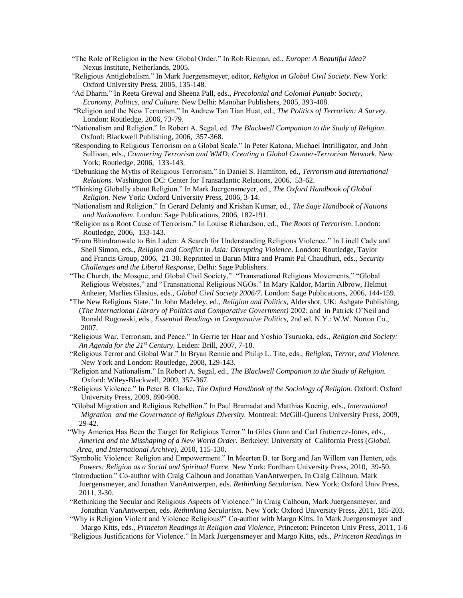- "The Role of Religion in the New Global Order." In Rob Rieman, ed., *Europe: A Beautiful Idea?*  Nexus Institute, Netherlands, 2005.
- "Religious Antiglobalism." In Mark Juergensmeyer, editor, *Religion in Global Civil Society.* New York: Oxford University Press, 2005, 135-148.
- "Ad Dharm." In Reeta Grewal and Sheena Pall, eds., *Precolonial and Colonial Punjab: Society, Economy, Politics, and Culture.* New Delhi: Manohar Publishers, 2005, 393-408.
- "Religion and the New Terrorism." In Andrew Tan Tian Huat, ed., *The Politics of Terrorism: A Survey.* London: Routledge, 2006, 73-79.
- "Nationalism and Religion." In Robert A. Segal, ed. *The Blackwell Companion to the Study of Religion*. Oxford: Blackwell Publishing, 2006, 357-368.
- "Responding to Religious Terrorism on a Global Scale." In Peter Katona, Michael Intrilligator, and John Sullivan, eds., *Countering Terrorism and WMD: Creating a Global Counter-Terrorism Network*. New York: Routledge, 2006, 133-143.
- "Debunking the Myths of Religious Terrorism." In Daniel S. Hamilton, ed., *Terrorism and International Relations.* Washington DC: Center for Transatlantic Relations, 2006, 53-62.
- "Thinking Globally about Religion." In Mark Juergensmeyer, ed., *The Oxford Handbook of Global Religion.* New York: Oxford University Press, 2006, 3-14.
- "Nationalism and Religion." In Gerard Delanty and Krishan Kumar, ed., *The Sage Handbook of Nations and Nationalism*. London: Sage Publications, 2006, 182-191.
- "Religion as a Root Cause of Terrorism." In Louise Richardson, ed., *The Roots of Terrorism*. London: Routledge, 2006, 133-143.
- "From Bhindranwale to Bin Laden: A Search for Understanding Religious Violence." In Linell Cady and Shell Simon, eds., *Religion and Conflict in Asia: Disrupting Violence*. London: Routledge, Taylor and Francis Group, 2006, 21-30. Reprinted in Barun Mitra and Pramit Pal Chaudhuri, eds., *Security Challenges and the Liberal Response*, Delhi: Sage Publishers.
- "The Church, the Mosque, and Global Civil Society," "Transnational Religious Movements," "Global Religious Websites," and "Transnational Religious NGOs." In Mary Kaldor, Martin Albrow, Helmut Anheier, Marlies Glasius, eds., *Global Civil Society 2006/7*. London: Sage Publications, 2006, 144-159.
- "The New Religious State." In John Madeley, ed., *Religion and Politics,* Aldershot, UK: Ashgate Publishing, (*The International Library of Politics and Comparative Government)* 2002; and in Patrick O'Neil and Ronald Rogowski, eds., *Essential Readings in Comparative Politics,* 2nd ed. N.Y.: W.W. Norton Co., 2007.
- "Religious War, Terrorism, and Peace." In Gerrie ter Haar and Yoshio Tsuruoka, eds., *Religion and Society: An Agenda for the 21st Century.* Leiden: Brill, 2007, 7-18.
- "Religious Terror and Global War." In Bryan Rennie and Philip L. Tite, eds., *Religion, Terror, and Violence.* New York and London: Routledge, 2008, 129-143.
- "Religion and Nationalism." In Robert A. Segal, ed., *The Blackwell Companion to the Study of Religion.* Oxford: Wiley-Blackwell, 2009, 357-367.
- "Religious Violence." In Peter B. Clarke, *The Oxford Handbook of the Sociology of Religion.* Oxford: Oxford University Press, 2009, 890-908.
- "Global Migration and Religious Rebellion." In Paul Bramadat and Matthias Koenig, eds., *International Migration and the Governance of Religious Diversity.* Montreal: McGill-Queens University Press, 2009, 29-42.
- "Why America Has Been the Target for Religious Terror." In Giles Gunn and Carl Gutierrez-Jones, eds., *America and the Misshaping of a New World Order.* Berkeley: University of California Press (*Global, Area, and International Archive)*, 2010, 115-130.
- "Symbolic Violence: Religion and Empowerment." In Meerten B. ter Borg and Jan Willem van Henten, eds. *Powers: Religion as a Social and Spiritual Force.* New York: Fordham University Press, 2010, 39-50.
- "Introduction." Co-author with Craig Calhoun and Jonathan VanAntwerpen. In Craig Calhoun, Mark Juergensmeyer, and Jonathan VanAntwerpen, eds. *Rethinking Secularism.* New York: Oxford Univ Press, 2011, 3-30.
- "Rethinking the Secular and Religious Aspects of Violence." In Craig Calhoun, Mark Juergensmeyer, and Jonathan VanAntwerpen, eds. *Rethinking Secularism.* New York: Oxford University Press, 2011, 185-203.
- "Why is Religion Violent and Violence Religious?" Co-author with Margo Kitts. In Mark Juergensmeyer and Margo Kitts, eds., *Princeton Readings in Religion and Violence,* Princeton: Princeton Univ Press, 2011, 1-6 "Religious Justifications for Violence." In Mark Juergensmeyer and Margo Kitts, eds., *Princeton Readings in*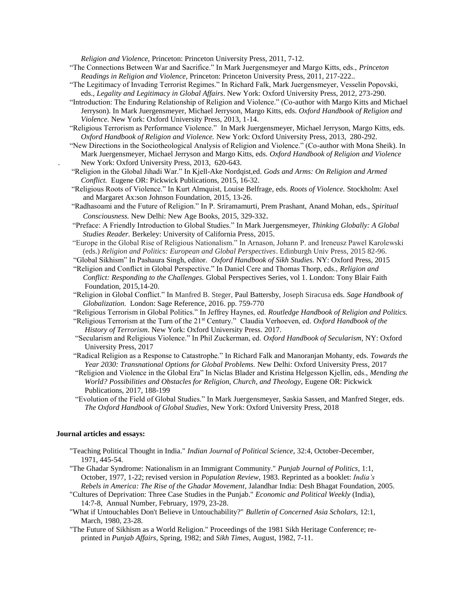*Religion and Violence,* Princeton: Princeton University Press, 2011, 7-12.

- "The Connections Between War and Sacrifice." In Mark Juergensmeyer and Margo Kitts, eds., *Princeton Readings in Religion and Violence,* Princeton: Princeton University Press, 2011, 217-222..
- "The Legitimacy of Invading Terrorist Regimes." In Richard Falk, Mark Juergensmeyer, Vesselin Popovski, eds., *Legality and Legitimacy in Global Affairs*. New York: Oxford University Press, 2012, 273-290.
- "Introduction: The Enduring Relationship of Religion and Violence." (Co-author with Margo Kitts and Michael Jerryson). In Mark Juergensmeyer, Michael Jerryson, Margo Kitts, eds. *Oxford Handbook of Religion and Violence.* New York: Oxford University Press, 2013, 1-14.
- "Religious Terrorism as Performance Violence." In Mark Juergensmeyer, Michael Jerryson, Margo Kitts, eds. *Oxford Handbook of Religion and Violence.* New York: Oxford University Press, 2013, 280-292.
- "New Directions in the Sociotheological Analysis of Religion and Violence." (Co-author with Mona Sheik). In Mark Juergensmeyer, Michael Jerryson and Margo Kitts, eds. *Oxford Handbook of Religion and Violence* New York: Oxford University Press, 2013, 620-643.
- "Religion in the Global Jihadi War." In Kjell-Ake Nordqist,ed. *Gods and Arms: On Religion and Armed Conflict.* Eugene OR: Pickwick Publications, 2015, 16-32.
- "Religious Roots of Violence." In Kurt Almquist, Louise Belfrage, eds. *Roots of Violence.* Stockholm: Axel and Margaret Ax:son Johnson Foundation, 2015, 13-26.
- "Radhasoami and the Future of Religion." In P. Sriramamurti, Prem Prashant, Anand Mohan, eds., *Spiritual Consciousness.* New Delhi: New Age Books, 2015, 329-332.
- "Preface: A Friendly Introduction to Global Studies*.*" In Mark Juergensmeyer, *Thinking Globally: A Global Studies Reader.* Berkeley: University of California Press, 2015.
- "Europe in the Global Rise of Religious Nationalism." In Arnason, Johann P. and Ireneusz Pawel Karolewski (eds.) *Religion and Politics: European and Global Perspectives*. Edinburgh Univ Press, 2015 82-96.
- "Global Sikhism" In Pashaura Singh, editor. *Oxford Handbook of Sikh Studies.* NY: Oxford Press, 2015 "Religion and Conflict in Global Perspective." In Daniel Cere and Thomas Thorp, eds., *Religion and*
- *Conflict: Responding to the Challenges.* Global Perspectives Series, vol 1. London: Tony Blair Faith Foundation, 2015,14-20.
- "Religion in Global Conflict." In Manfred B. Steger, Paul Battersby, Joseph Siracusa eds. *Sage Handbook of Globalization.* London: Sage Reference, 2016. pp. 759-770
- "Religious Terrorism in Global Politics." In Jeffrey Haynes, ed. *Routledge Handbook of Religion and Politics.*
- "Religious Terrorism at the Turn of the 21st Century." Claudia Verhoeven, ed. *Oxford Handbook of the History of Terrorism*. New York: Oxford University Press. 2017.
- "Secularism and Religious Violence." In Phil Zuckerman, ed. *Oxford Handbook of Secularism,* NY: Oxford University Press, 2017
- "Radical Religion as a Response to Catastrophe." In Richard Falk and Manoranjan Mohanty, eds. *Towards the Year 2030: Transnational Options for Global Problems.* New Delhi: Oxford University Press, 2017
- "Religion and Violence in the Global Era" In Niclas Blader and Kristina Helgesson Kjellin, eds., *Mending the World? Possibilities and Obstacles for Religion, Church, and Theology,* Eugene OR: Pickwick Publications, 2017, 188-199
- "Evolution of the Field of Global Studies." In Mark Juergensmeyer, Saskia Sassen, and Manfred Steger, eds. *The Oxford Handbook of Global Studies,* New York: Oxford University Press, 2018

#### **Journal articles and essays:**

- "Teaching Political Thought in India." *Indian Journal of Political Science,* 32:4, October-December, 1971, 445-54.
- "The Ghadar Syndrome: Nationalism in an Immigrant Community." *Punjab Journal of Politics*, 1:1, October, 1977, 1-22; revised version in *Population Review*, 1983. Reprinted as a booklet: *India's Rebels in America: The Rise of the Ghadar Movement*, Jalandhar India: Desh Bhagat Foundation, 2005.
- "Cultures of Deprivation: Three Case Studies in the Punjab." *Economic and Political Weekly* (India), 14:7-8, Annual Number, February, 1979, 23-28.
- "What if Untouchables Don't Believe in Untouchability?" *Bulletin of Concerned Asia Scholars,* 12:1, March, 1980, 23-28.
- "The Future of Sikhism as a World Religion." Proceedings of the 1981 Sikh Heritage Conference; re printed in *Punjab Affairs*, Spring, 1982; and *Sikh Times*, August, 1982, 7-11.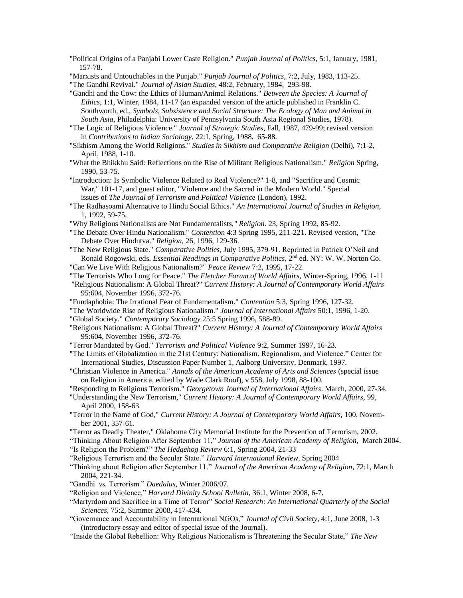"Political Origins of a Panjabi Lower Caste Religion." *Punjab Journal of Politics,* 5:1, January, 1981, 157-78.

"Marxists and Untouchables in the Punjab." *Punjab Journal of Politics,* 7:2, July, 1983, 113-25.

"The Gandhi Revival." *Journal of Asian Studies*, 48:2, February, 1984, 293-98.

 "Gandhi and the Cow: the Ethics of Human/Animal Relations." *Between the Species: A Journal of Ethics*, 1:1, Winter, 1984, 11-17 (an expanded version of the article published in Franklin C. Southworth, ed., *Symbols, Subsistence and Social Structure: The Ecology of Man and Animal in South Asia,* Philadelphia: University of Pennsylvania South Asia Regional Studies, 1978).

 "The Logic of Religious Violence." *Journal of Strategic Studies*, Fall, 1987, 479-99; revised version in *Contributions to Indian Sociology*, 22:1, Spring, 1988, 65-88.

 "Sikhism Among the World Religions." *Studies in Sikhism and Comparative Religion* (Delhi), 7:1-2, April, 1988, 1-10.

 "What the Bhikkhu Said: Reflections on the Rise of Militant Religious Nationalism." *Religion* Spring, 1990, 53-75.

 "Introduction: Is Symbolic Violence Related to Real Violence?" 1-8, and "Sacrifice and Cosmic War," 101-17, and guest editor, "Violence and the Sacred in the Modern World." Special issues of *The Journal of Terrorism and Political Violence* (London), 1992.

 "The Radhasoami Alternative to Hindu Social Ethics." *An International Journal of Studies in Religion,* 1, 1992, 59-75.

"Why Religious Nationalists are Not Fundamentalists,*" Religion*. 23, Spring 1992, 85-92.

 "The Debate Over Hindu Nationalism." *Contention* 4:3 Spring 1995, 211-221. Revised version, "The Debate Over Hindutva." *Religion,* 26, 1996, 129-36.

 "The New Religious State." *Comparative Politics,* July 1995, 379-91. Reprinted in Patrick O'Neil and Ronald Rogowski, eds. *Essential Readings in Comparative Politics*, 2nd ed. NY: W. W. Norton Co. "Can We Live With Religious Nationalism?" *Peace Review* 7:2, 1995, 17-22.

"The Terrorists Who Long for Peace." *The Fletcher Forum of World Affairs*, Winter-Spring, 1996, 1-11

- "Religious Nationalism: A Global Threat?" *Current History: A Journal of Contemporary World Affairs* 95:604, November 1996, 372-76.
- "Fundaphobia: The Irrational Fear of Fundamentalism." *Contention* 5:3, Spring 1996, 127-32.

"The Worldwide Rise of Religious Nationalism." *Journal of International Affairs* 50:1, 1996, 1-20.

- "Global Society." *Contemporary Sociology* 25:5 Spring 1996, 588-89.
- "Religious Nationalism: A Global Threat?" *Current History: A Journal of Contemporary World Affairs* 95:604, November 1996, 372-76.

"Terror Mandated by God." *Terrorism and Political Violence* 9:2, Summer 1997, 16-23.

- "The Limits of Globalization in the 21st Century: Nationalism, Regionalism, and Violence." Center for International Studies, Discussion Paper Number 1, Aalborg University, Denmark, 1997.
- "Christian Violence in America." *Annals of the American Academy of Arts and Sciences* (special issue on Religion in America, edited by Wade Clark Roof), v 558, July 1998, 88-100.

"Responding to Religious Terrorism." *Georgetown Journal of International Affairs*. March, 2000, 27-34.

 "Understanding the New Terrorism," *Current History: A Journal of Contemporary World Affairs,* 99, April 2000, 158-63

- "Terror in the Name of God," *Current History: A Journal of Contemporary World Affairs,* 100, Novem ber 2001, 357-61.
- "Terror as Deadly Theater," Oklahoma City Memorial Institute for the Prevention of Terrorism, 2002.

"Thinking About Religion After September 11," *Journal of the American Academy of Religion,* March 2004.

"Is Religion the Problem?" *The Hedgehog Review* 6:1, Spring 2004, 21-33

- "Religious Terrorism and the Secular State." *Harvard International Review*, Spring 2004
- "Thinking about Religion after September 11." *Journal of the American Academy of Religion*, 72:1, March 2004, 221-34.

"Gandhi *vs.* Terrorism." *Daedalus,* Winter 2006/07.

"Religion and Violence," *Harvard Divinity School Bulletin*, 36:1, Winter 2008, 6-7.

 "Martyrdom and Sacrifice in a Time of Terror" *Social Research: An International Quarterly of the Social Sciences,* 75:2, Summer 2008, 417-434.

- "Governance and Accountability in International NGOs," *Journal of Civil Society*, 4:1, June 2008, 1-3 (introductory essay and editor of special issue of the Journal).
- "Inside the Global Rebellion: Why Religious Nationalism is Threatening the Secular State," *The New*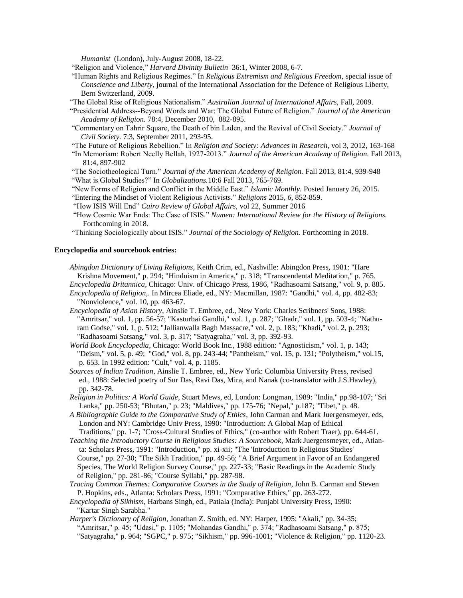*Humanist* (London), July-August 2008, 18-22.

- "Religion and Violence," *Harvard Divinity Bulletin* 36:1, Winter 2008, 6-7.
- "Human Rights and Religious Regimes." In *Religious Extremism and Religious Freedom,* special issue of *Conscience and Liberty*, journal of the International Association for the Defence of Religious Liberty, Bern Switzerland, 2009.
- "The Global Rise of Religious Nationalism." *Australian Journal of International Affairs,* Fall, 2009.
- "Presidential Address--Beyond Words and War: The Global Future of Religion." *Journal of the American Academy of Religion.* 78:4, December 2010, 882-895.
- "Commentary on Tahrir Square, the Death of bin Laden, and the Revival of Civil Society." *Journal of Civil Society.* 7:3, September 2011, 293-95.
- "The Future of Religious Rebellion." In *Religion and Society: Advances in Research*, vol 3, 2012, 163-168
- "In Memoriam: Robert Neelly Bellah, 1927-2013." *Journal of the American Academy of Religion.* Fall 2013, 81:4, 897-902
- "The Sociotheological Turn." *Journal of the American Academy of Religion.* Fall 2013, 81:4, 939-948 "What is Global Studies?" In *Globalizations.*10:6 Fall 2013, 765-769.
- "New Forms of Religion and Conflict in the Middle East." *Islamic Monthly.* Posted January 26, 2015.
- "Entering the Mindset of Violent Religious Activists." *Religions* 2015, *6*, 852-859.
- "How ISIS Will End" *Cairo Review of Global Affairs,* vol 22, Summer 2016
- "How Cosmic War Ends: The Case of ISIS." *Numen: International Review for the History of Religions.*  Forthcoming in 2018.
- "Thinking Sociologically about ISIS." *Journal of the Sociology of Religion.* Forthcoming in 2018.

## **Encyclopedia and sourcebook entries:**

- *Abingdon Dictionary of Living Religions*, Keith Crim, ed., Nashville: Abingdon Press, 1981: "Hare Krishna Movement," p. 294; "Hinduism in America," p. 318; "Transcendental Meditation," p. 765. *Encyclopedia Britannica*, Chicago: Univ. of Chicago Press, 1986, "Radhasoami Satsang," vol. 9, p. 885.
- *Encyclopedia of Religion*,. In Mircea Eliade, ed., NY: Macmillan, 1987: "Gandhi," vol. 4, pp. 482-83; "Nonviolence," vol. 10, pp. 463-67.
- *Encyclopedia of Asian History*, Ainslie T. Embree, ed., New York: Charles Scribners' Sons, 1988: "Amritsar," vol. 1, pp. 56-57; "Kasturbai Gandhi," vol. 1, p. 287; "Ghadr," vol. 1, pp. 503-4; "Nathu ram Godse," vol. 1, p. 512; "Jallianwalla Bagh Massacre," vol. 2, p. 183; "Khadi," vol. 2, p. 293; "Radhasoami Satsang," vol. 3, p. 317; "Satyagraha," vol. 3, pp. 392-93.
- *World Book Encyclopedia*, Chicago: World Book Inc., 1988 edition: "Agnosticism," vol. 1, p. 143; "Deism," vol. 5, p. 49; "God," vol. 8, pp. 243-44; "Pantheism," vol. 15, p. 131; "Polytheism," vol.15, p. 653. In 1992 edition: "Cult," vol. 4, p. 1185.
- *Sources of Indian Tradition*, Ainslie T. Embree, ed., New York: Columbia University Press, revised ed., 1988: Selected poetry of Sur Das, Ravi Das, Mira, and Nanak (co-translator with J.S.Hawley), pp. 342-78.
- *Religion in Politics: A World Guide*, Stuart Mews, ed, London: Longman, 1989: "India," pp.98-107; "Sri Lanka," pp. 250-53; "Bhutan," p. 23; "Maldives," pp. 175-76; "Nepal," p.187; "Tibet," p. 48.
- *A Bibliographic Guide to the Comparative Study of Ethics*, John Carman and Mark Juergensmeyer, eds, London and NY: Cambridge Univ Press, 1990: "Introduction: A Global Map of Ethical Traditions," pp. 1-7; "Cross-Cultural Studies of Ethics," (co-author with Robert Traer), pp. 644-61.
- *Teaching the Introductory Course in Religious Studies: A Sourcebook*, Mark Juergensmeyer, ed., Atlan ta: Scholars Press, 1991: "Introduction," pp. xi-xii; "The 'Introduction to Religious Studies' Course," pp. 27-30; "The Sikh Tradition," pp. 49-56; "A Brief Argument in Favor of an Endangered Species, The World Religion Survey Course," pp. 227-33; "Basic Readings in the Academic Study of Religion," pp. 281-86; "Course Syllabi," pp. 287-98.
- *Tracing Common Themes: Comparative Courses in the Study of Religion*, John B. Carman and Steven P. Hopkins, eds., Atlanta: Scholars Press, 1991: "Comparative Ethics," pp. 263-272.
- *Encyclopedia of Sikhism*, Harbans Singh, ed., Patiala (India): Punjabi University Press, 1990: "Kartar Singh Sarabha."
- *Harper's Dictionary of Religion*, Jonathan Z. Smith, ed. NY: Harper, 1995: "Akali," pp. 34-35; "Amritsar," p. 45; "Udasi," p. 1105; "Mohandas Gandhi," p. 374; "Radhasoami Satsang," p. 875; "Satyagraha," p. 964; "SGPC," p. 975; "Sikhism," pp. 996-1001; "Violence & Religion," pp. 1120-23.